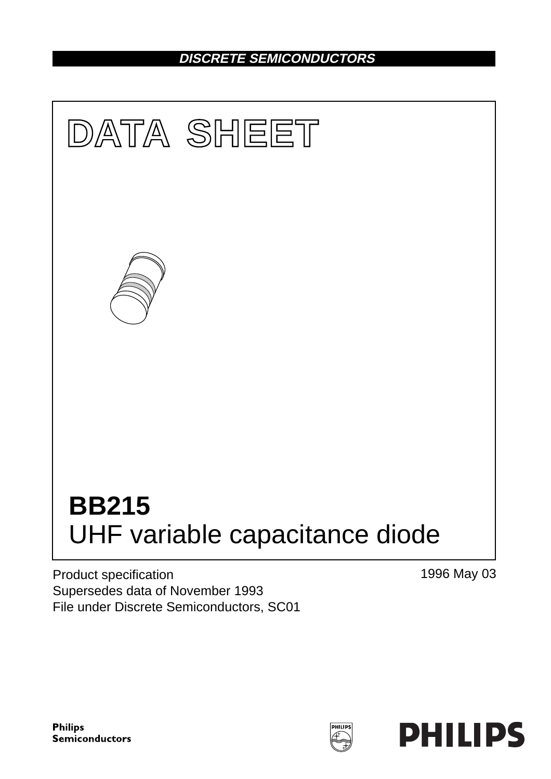## **DISCRETE SEMICONDUCTORS**



Product specification Supersedes data of November 1993 File under Discrete Semiconductors, SC01 1996 May 03

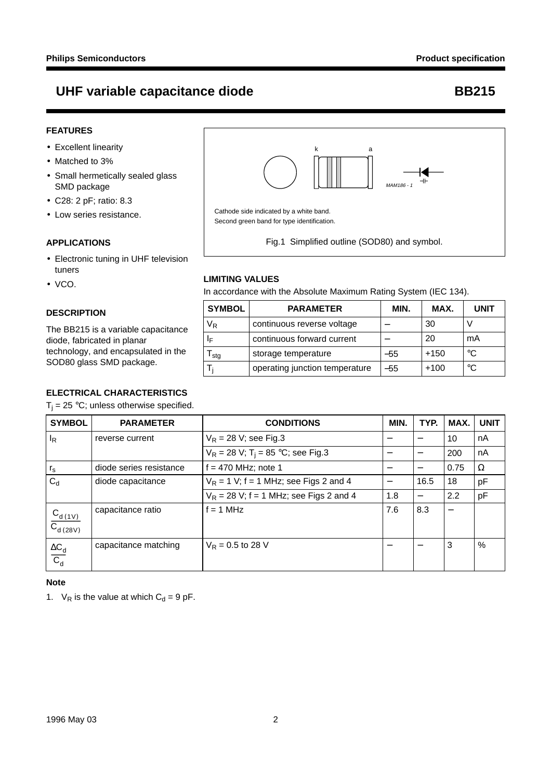- Excellent linearity
- Matched to 3%
- Small hermetically sealed glass SMD package
- C28: 2 pF; ratio: 8.3
- Low series resistance.

#### **APPLICATIONS**

- Electronic tuning in UHF television tuners
- VCO.

### **DESCRIPTION**

The BB215 is a variable capacitance diode, fabricated in planar technology, and encapsulated in the SOD80 glass SMD package.

### **ELECTRICAL CHARACTERISTICS**

 $T_i = 25 °C$ ; unless otherwise specified.

| <b>SYMBOL</b>                              | <b>PARAMETER</b>        | <b>CONDITIONS</b>                                | MIN. | TYP. | MAX. | <b>UNIT</b> |
|--------------------------------------------|-------------------------|--------------------------------------------------|------|------|------|-------------|
| <sup>I</sup> R                             | reverse current         | $V_R$ = 28 V; see Fig.3                          |      |      | 10   | nA          |
|                                            |                         | $V_R = 28 V$ ; T <sub>i</sub> = 85 °C; see Fig.3 | -    |      | 200  | nA          |
| $r_{\rm s}$                                | diode series resistance | $f = 470$ MHz; note 1                            | —    |      | 0.75 | Ω           |
| $C_d$                                      | diode capacitance       | $V_R$ = 1 V; f = 1 MHz; see Figs 2 and 4         | —    | 16.5 | 18   | pF          |
|                                            |                         | $V_R$ = 28 V; f = 1 MHz; see Figs 2 and 4        | 1.8  | —    | 2.2  | pF          |
| $\frac{C_{d(1V)}}{C_{d(28V)}}$             | capacitance ratio       | $= 1 MHz$                                        | 7.6  | 8.3  |      |             |
| $\frac{\Delta C_{\text{d}}}{C_{\text{d}}}$ | capacitance matching    | $V_R = 0.5$ to 28 V                              |      |      | 3    | $\%$        |

### **Note**

1.  $V_R$  is the value at which  $C_d = 9$  pF.



Second green band for type identification.

**UHF variable capacitance diode <br>
BB215** 

Fig.1 Simplified outline (SOD80) and symbol.

#### **LIMITING VALUES**

In accordance with the Absolute Maximum Rating System (IEC 134).

| <b>SYMBOL</b> | <b>PARAMETER</b>               | MIN. | MAX.   | <b>UNIT</b> |
|---------------|--------------------------------|------|--------|-------------|
| VR            | continuous reverse voltage     |      | 30     |             |
| IF            | continuous forward current     |      | 20     | mA          |
| sta           | storage temperature            | -55  | $+150$ | $^{\circ}C$ |
|               | operating junction temperature | -55  | $+100$ | $^{\circ}C$ |



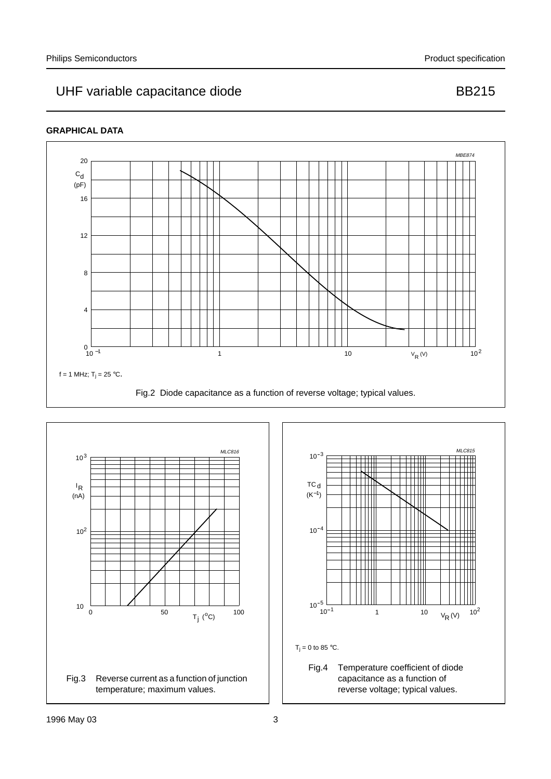## UHF variable capacitance diode **BB215**

### **GRAPHICAL DATA**